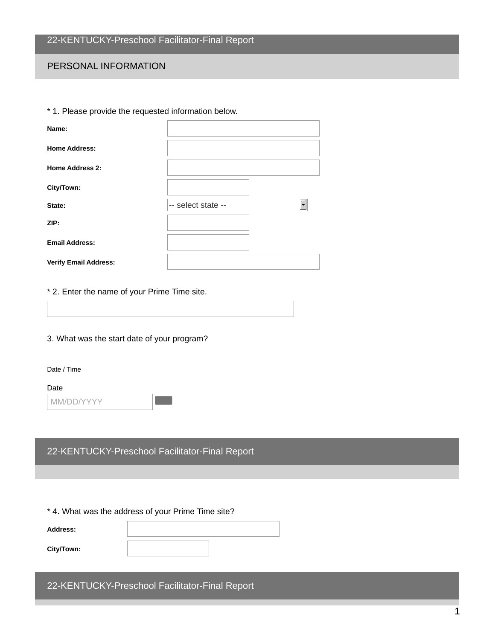#### PERSONAL INFORMATION

| * 1. Please provide the requested information below. |                    |
|------------------------------------------------------|--------------------|
| Name:                                                |                    |
| <b>Home Address:</b>                                 |                    |
| <b>Home Address 2:</b>                               |                    |
| City/Town:                                           |                    |
| State:                                               | -- select state -- |
| ZIP:                                                 |                    |
| <b>Email Address:</b>                                |                    |
| <b>Verify Email Address:</b>                         |                    |

#### \* 2. Enter the name of your Prime Time site.

#### 3. What was the start date of your program?

#### Date / Time

#### Date

| MM/DD/YYYY |  |
|------------|--|
|------------|--|

### 22-KENTUCKY-Preschool Facilitator-Final Report

#### \* 4. What was the address of your Prime Time site?

| <b>Address:</b> |  |
|-----------------|--|
| City/Town:      |  |

#### 22-KENTUCKY-Preschool Facilitator-Final Report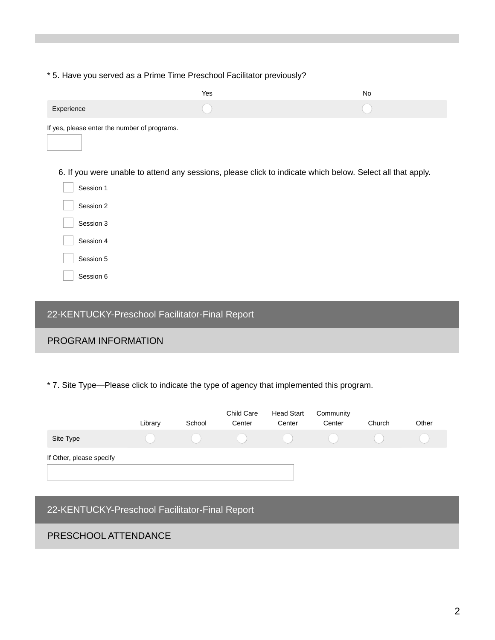#### \* 5. Have you served as a Prime Time Preschool Facilitator previously?

|                                              | Yes                                                                                                        | No |
|----------------------------------------------|------------------------------------------------------------------------------------------------------------|----|
| Experience                                   |                                                                                                            |    |
| If yes, please enter the number of programs. |                                                                                                            |    |
|                                              | 6. If you were unable to attend any sessions, please click to indicate which below. Select all that apply. |    |
| Session 1                                    |                                                                                                            |    |
| Session 2                                    |                                                                                                            |    |
| Session 3                                    |                                                                                                            |    |
| Session 4                                    |                                                                                                            |    |
| Session 5                                    |                                                                                                            |    |
| Session 6                                    |                                                                                                            |    |

## 22-KENTUCKY-Preschool Facilitator-Final Report

#### PROGRAM INFORMATION

\* 7. Site Type—Please click to indicate the type of agency that implemented this program.

|                          | Library | School | Child Care<br>Center | <b>Head Start</b><br>Center | Community<br>Center | Church | Other |
|--------------------------|---------|--------|----------------------|-----------------------------|---------------------|--------|-------|
| Site Type                |         |        | $\mathcal{L}$        |                             |                     |        |       |
| If Other, please specify |         |        |                      |                             |                     |        |       |
|                          |         |        |                      |                             |                     |        |       |
|                          |         |        |                      |                             |                     |        |       |

# 22-KENTUCKY-Preschool Facilitator-Final Report PRESCHOOL ATTENDANCE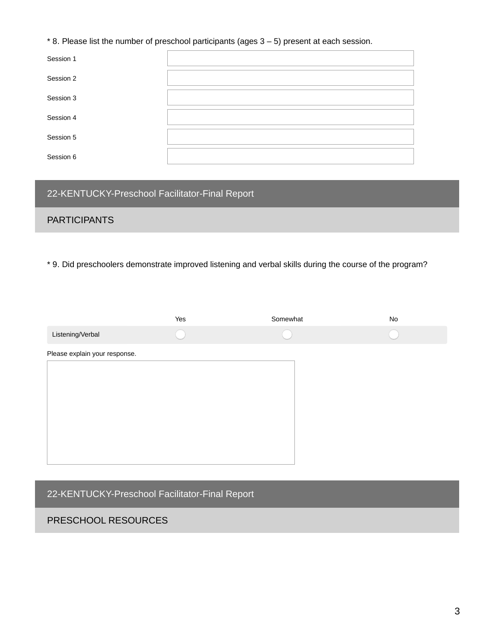#### \* 8. Please list the number of preschool participants (ages 3 – 5) present at each session.

| Session 1 |  |
|-----------|--|
| Session 2 |  |
| Session 3 |  |
| Session 4 |  |
| Session 5 |  |
| Session 6 |  |

## 22-KENTUCKY-Preschool Facilitator-Final Report

### **PARTICIPANTS**

\* 9. Did preschoolers demonstrate improved listening and verbal skills during the course of the program?

|                               | Yes | Somewhat | No |
|-------------------------------|-----|----------|----|
| Listening/Verbal              |     |          |    |
| Please explain your response. |     |          |    |
|                               |     |          |    |
|                               |     |          |    |
|                               |     |          |    |
|                               |     |          |    |
|                               |     |          |    |
|                               |     |          |    |

22-KENTUCKY-Preschool Facilitator-Final Report

#### PRESCHOOL RESOURCES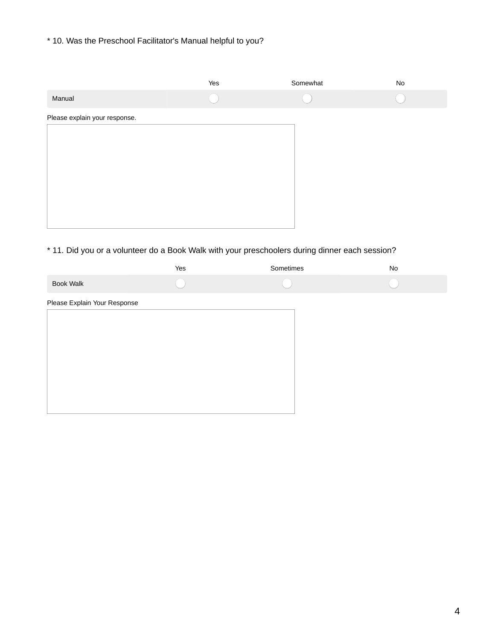#### \* 10. Was the Preschool Facilitator's Manual helpful to you?

|                               | Yes | Somewhat | $\operatorname{\mathsf{No}}$ |
|-------------------------------|-----|----------|------------------------------|
| Manual                        |     |          |                              |
| Please explain your response. |     |          |                              |
|                               |     |          |                              |
|                               |     |          |                              |
|                               |     |          |                              |
|                               |     |          |                              |
|                               |     |          |                              |
|                               |     |          |                              |

## \* 11. Did you or a volunteer do a Book Walk with your preschoolers during dinner each session?

|                              | Yes | Sometimes | No |
|------------------------------|-----|-----------|----|
| <b>Book Walk</b>             |     |           |    |
| Please Explain Your Response |     |           |    |
|                              |     |           |    |
|                              |     |           |    |
|                              |     |           |    |
|                              |     |           |    |
|                              |     |           |    |
|                              |     |           |    |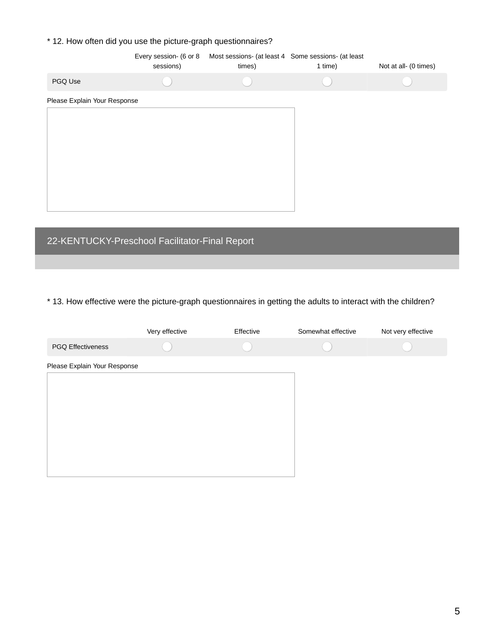### \* 12. How often did you use the picture-graph questionnaires?

|                              | Every session- (6 or 8<br>sessions) | Most sessions- (at least 4 Some sessions- (at least<br>times) | 1 time) | Not at all- (0 times) |
|------------------------------|-------------------------------------|---------------------------------------------------------------|---------|-----------------------|
| PGQ Use                      |                                     |                                                               |         |                       |
| Please Explain Your Response |                                     |                                                               |         |                       |
|                              |                                     |                                                               |         |                       |
|                              |                                     |                                                               |         |                       |
|                              |                                     |                                                               |         |                       |
|                              |                                     |                                                               |         |                       |
|                              |                                     |                                                               |         |                       |
|                              |                                     |                                                               |         |                       |

## 22-KENTUCKY-Preschool Facilitator-Final Report

#### \* 13. How effective were the picture-graph questionnaires in getting the adults to interact with the children?

|                              | Very effective | Effective | Somewhat effective | Not very effective |
|------------------------------|----------------|-----------|--------------------|--------------------|
| <b>PGQ Effectiveness</b>     |                |           |                    |                    |
| Please Explain Your Response |                |           |                    |                    |
|                              |                |           |                    |                    |
|                              |                |           |                    |                    |
|                              |                |           |                    |                    |
|                              |                |           |                    |                    |
|                              |                |           |                    |                    |
|                              |                |           |                    |                    |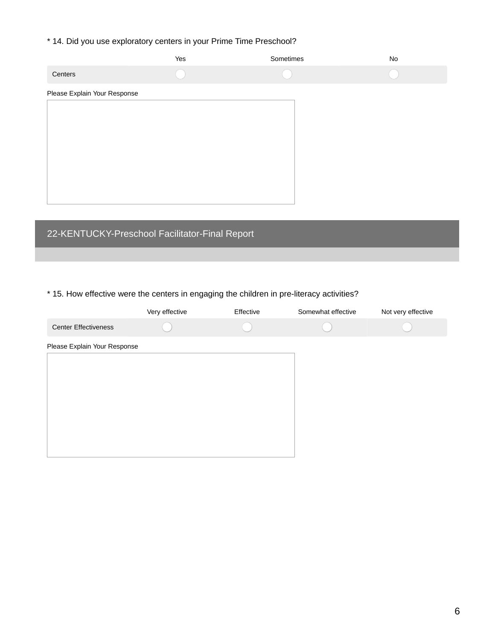\* 14. Did you use exploratory centers in your Prime Time Preschool?

|                              | Yes | Sometimes | $\mathsf{No}$ |
|------------------------------|-----|-----------|---------------|
| Centers                      |     |           |               |
| Please Explain Your Response |     |           |               |
|                              |     |           |               |
|                              |     |           |               |
|                              |     |           |               |
|                              |     |           |               |
|                              |     |           |               |
|                              |     |           |               |
|                              |     |           |               |

# 22-KENTUCKY-Preschool Facilitator-Final Report

#### \* 15. How effective were the centers in engaging the children in pre-literacy activities?

|                              | Very effective | Effective | Somewhat effective | Not very effective |
|------------------------------|----------------|-----------|--------------------|--------------------|
| <b>Center Effectiveness</b>  |                |           |                    |                    |
| Please Explain Your Response |                |           |                    |                    |
|                              |                |           |                    |                    |
|                              |                |           |                    |                    |
|                              |                |           |                    |                    |
|                              |                |           |                    |                    |
|                              |                |           |                    |                    |
|                              |                |           |                    |                    |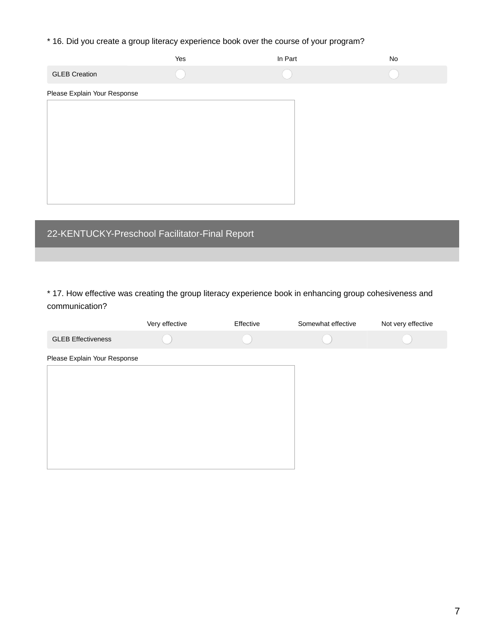\* 16. Did you create a group literacy experience book over the course of your program?

|                              | Yes | In Part | $\operatorname{\mathsf{No}}$ |  |  |  |  |
|------------------------------|-----|---------|------------------------------|--|--|--|--|
| <b>GLEB Creation</b>         |     |         |                              |  |  |  |  |
| Please Explain Your Response |     |         |                              |  |  |  |  |
|                              |     |         |                              |  |  |  |  |
|                              |     |         |                              |  |  |  |  |
|                              |     |         |                              |  |  |  |  |
|                              |     |         |                              |  |  |  |  |
|                              |     |         |                              |  |  |  |  |
|                              |     |         |                              |  |  |  |  |

## 22-KENTUCKY-Preschool Facilitator-Final Report

\* 17. How effective was creating the group literacy experience book in enhancing group cohesiveness and communication?

|                              | Very effective | Effective | Somewhat effective | Not very effective |
|------------------------------|----------------|-----------|--------------------|--------------------|
| <b>GLEB Effectiveness</b>    |                |           |                    |                    |
| Please Explain Your Response |                |           |                    |                    |
|                              |                |           |                    |                    |
|                              |                |           |                    |                    |
|                              |                |           |                    |                    |
|                              |                |           |                    |                    |
|                              |                |           |                    |                    |
|                              |                |           |                    |                    |